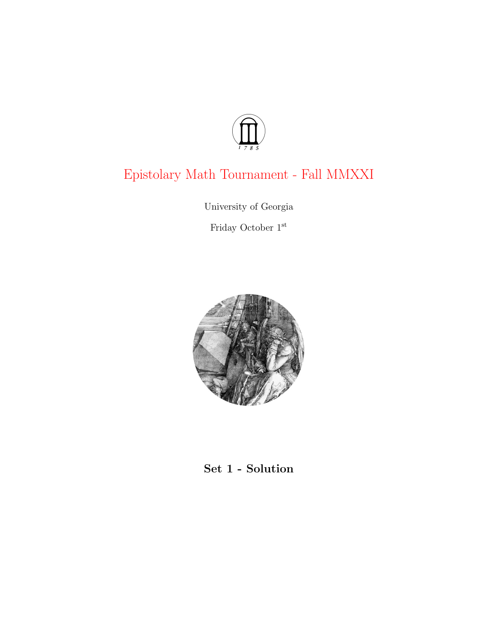

# Epistolary Math Tournament - Fall MMXXI

University of Georgia

Friday October $1^{\rm st}$ 



# Set 1 - Solution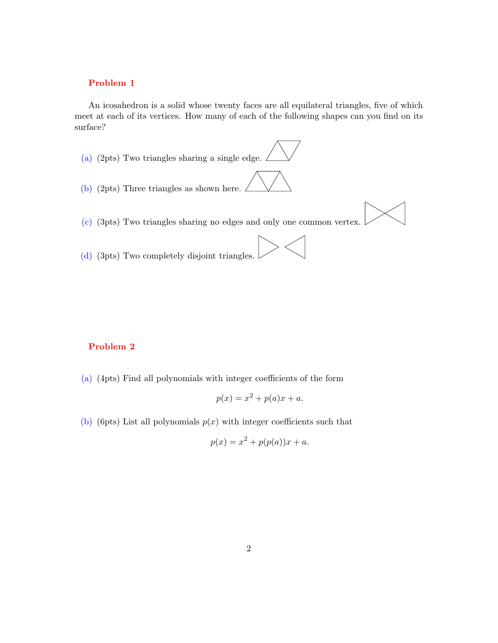## Problem 1

An icosahedron is a solid whose twenty faces are all equilateral triangles, five of which meet at each of its vertices. How many of each of the following shapes can you find on its surface?

- (a) (2pts) Two triangles sharing a single edge. (b) (2pts) Three triangles as shown here. (c) (3pts) Two triangles sharing no edges and only one common vertex.
- (d) (3pts) Two completely disjoint triangles.

# Problem 2

(a) (4pts) Find all polynomials with integer coefficients of the form

$$
p(x) = x^2 + p(a)x + a.
$$

(b) (6pts) List all polynomials  $p(x)$  with integer coefficients such that

$$
p(x) = x^2 + p(p(a))x + a.
$$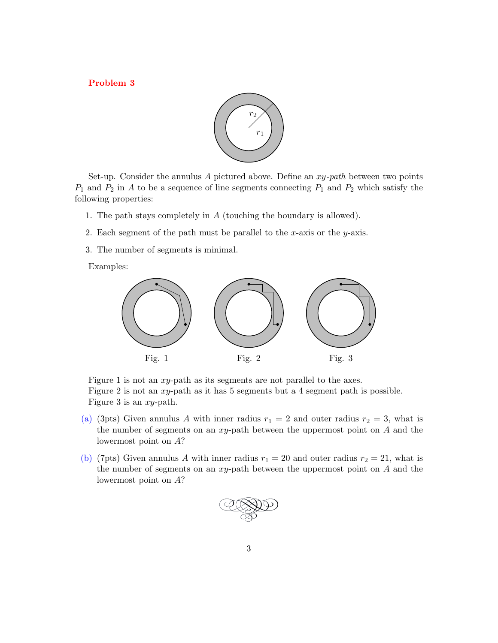Problem 3



Set-up. Consider the annulus A pictured above. Define an  $xy$ -path between two points  $P_1$  and  $P_2$  in A to be a sequence of line segments connecting  $P_1$  and  $P_2$  which satisfy the following properties:

- 1. The path stays completely in A (touching the boundary is allowed).
- 2. Each segment of the path must be parallel to the x-axis or the y-axis.
- 3. The number of segments is minimal.

Examples:



Figure 1 is not an xy-path as its segments are not parallel to the axes. Figure 2 is not an xy-path as it has 5 segments but a 4 segment path is possible. Figure 3 is an xy-path.

- (a) (3pts) Given annulus A with inner radius  $r_1 = 2$  and outer radius  $r_2 = 3$ , what is the number of segments on an  $xy$ -path between the uppermost point on  $A$  and the lowermost point on A?
- (b) (7pts) Given annulus A with inner radius  $r_1 = 20$  and outer radius  $r_2 = 21$ , what is the number of segments on an  $xy$ -path between the uppermost point on  $A$  and the lowermost point on A?

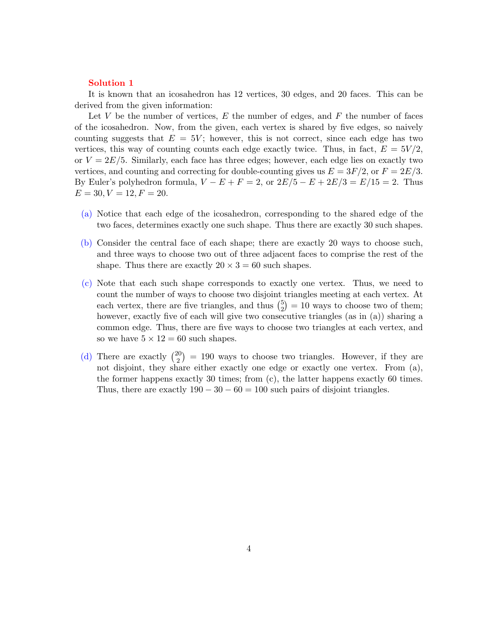#### Solution 1

It is known that an icosahedron has 12 vertices, 30 edges, and 20 faces. This can be derived from the given information:

Let  $V$  be the number of vertices,  $E$  the number of edges, and  $F$  the number of faces of the icosahedron. Now, from the given, each vertex is shared by five edges, so naively counting suggests that  $E = 5V$ ; however, this is not correct, since each edge has two vertices, this way of counting counts each edge exactly twice. Thus, in fact,  $E = 5V/2$ , or  $V = 2E/5$ . Similarly, each face has three edges; however, each edge lies on exactly two vertices, and counting and correcting for double-counting gives us  $E = 3F/2$ , or  $F = 2E/3$ . By Euler's polyhedron formula,  $V - E + F = 2$ , or  $2E/5 - E + 2E/3 = E/15 = 2$ . Thus  $E = 30, V = 12, F = 20.$ 

- (a) Notice that each edge of the icosahedron, corresponding to the shared edge of the two faces, determines exactly one such shape. Thus there are exactly 30 such shapes.
- (b) Consider the central face of each shape; there are exactly 20 ways to choose such, and three ways to choose two out of three adjacent faces to comprise the rest of the shape. Thus there are exactly  $20 \times 3 = 60$  such shapes.
- (c) Note that each such shape corresponds to exactly one vertex. Thus, we need to count the number of ways to choose two disjoint triangles meeting at each vertex. At each vertex, there are five triangles, and thus  $\binom{5}{2}$  $_{2}^{5}$ ) = 10 ways to choose two of them; however, exactly five of each will give two consecutive triangles (as in (a)) sharing a common edge. Thus, there are five ways to choose two triangles at each vertex, and so we have  $5 \times 12 = 60$  such shapes.
- (d) There are exactly  $\binom{20}{2}$  $\binom{20}{2}$  = 190 ways to choose two triangles. However, if they are not disjoint, they share either exactly one edge or exactly one vertex. From (a), the former happens exactly 30 times; from  $(c)$ , the latter happens exactly 60 times. Thus, there are exactly  $190 - 30 - 60 = 100$  such pairs of disjoint triangles.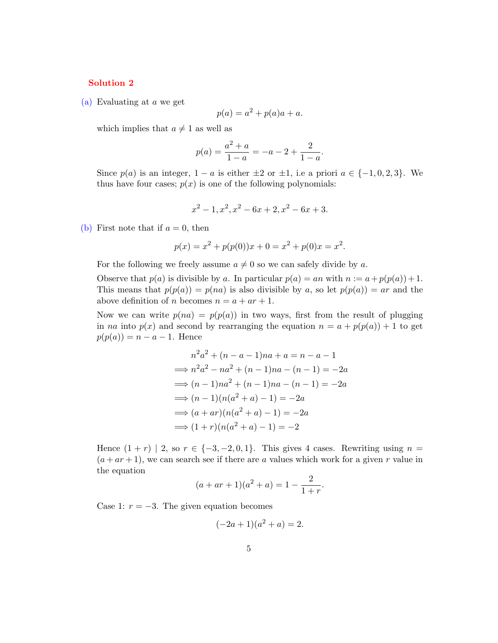### Solution 2

(a) Evaluating at a we get

$$
p(a) = a^2 + p(a)a + a.
$$

which implies that  $a\neq 1$  as well as

$$
p(a) = \frac{a^2 + a}{1 - a} = -a - 2 + \frac{2}{1 - a}.
$$

Since  $p(a)$  is an integer,  $1 - a$  is either  $\pm 2$  or  $\pm 1$ , i.e a priori  $a \in \{-1, 0, 2, 3\}$ . We thus have four cases;  $p(x)$  is one of the following polynomials:

$$
x^2 - 1, x^2, x^2 - 6x + 2, x^2 - 6x + 3.
$$

(b) First note that if  $a = 0$ , then

$$
p(x) = x2 + p(p(0))x + 0 = x2 + p(0)x = x2.
$$

For the following we freely assume  $a \neq 0$  so we can safely divide by a.

Observe that  $p(a)$  is divisible by a. In particular  $p(a) = an$  with  $n := a + p(p(a)) + 1$ . This means that  $p(p(a)) = p(na)$  is also divisible by a, so let  $p(p(a)) = ar$  and the above definition of *n* becomes  $n = a + ar + 1$ .

Now we can write  $p(na) = p(p(a))$  in two ways, first from the result of plugging in na into  $p(x)$  and second by rearranging the equation  $n = a + p(p(a)) + 1$  to get  $p(p(a)) = n - a - 1$ . Hence

$$
n^2a^2 + (n - a - 1)na + a = n - a - 1
$$
  
\n
$$
\implies n^2a^2 - na^2 + (n - 1)na - (n - 1) = -2a
$$
  
\n
$$
\implies (n - 1)na^2 + (n - 1)na - (n - 1) = -2a
$$
  
\n
$$
\implies (n - 1)(n(a^2 + a) - 1) = -2a
$$
  
\n
$$
\implies (a + ar)(n(a^2 + a) - 1) = -2a
$$
  
\n
$$
\implies (1 + r)(n(a^2 + a) - 1) = -2
$$

Hence  $(1 + r)$  | 2, so  $r \in \{-3, -2, 0, 1\}$ . This gives 4 cases. Rewriting using  $n =$  $(a + ar + 1)$ , we can search see if there are a values which work for a given r value in the equation  $\sim$ 

$$
(a + ar + 1)(a2 + a) = 1 - \frac{2}{1+r}.
$$

Case 1:  $r = -3$ . The given equation becomes

$$
(-2a+1)(a^2+a) = 2.
$$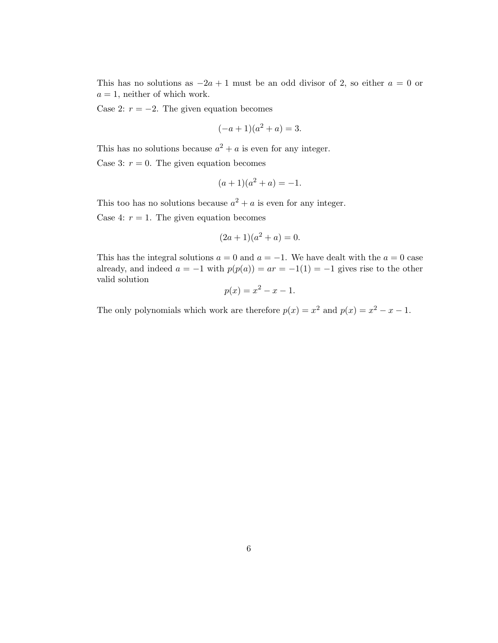This has no solutions as  $-2a + 1$  must be an odd divisor of 2, so either  $a = 0$  or  $a = 1$ , neither of which work.

Case 2:  $r = -2$ . The given equation becomes

$$
(-a+1)(a^2+a) = 3.
$$

This has no solutions because  $a^2 + a$  is even for any integer.

Case 3:  $r = 0$ . The given equation becomes

$$
(a+1)(a^2+a) = -1
$$

This too has no solutions because  $a^2 + a$  is even for any integer.

Case 4:  $r = 1$ . The given equation becomes

$$
(2a+1)(a^2+a) = 0.
$$

This has the integral solutions  $a = 0$  and  $a = -1$ . We have dealt with the  $a = 0$  case already, and indeed  $a = -1$  with  $p(p(a)) = ar = -1(1) = -1$  gives rise to the other valid solution

$$
p(x) = x^2 - x - 1.
$$

The only polynomials which work are therefore  $p(x) = x^2$  and  $p(x) = x^2 - x - 1$ .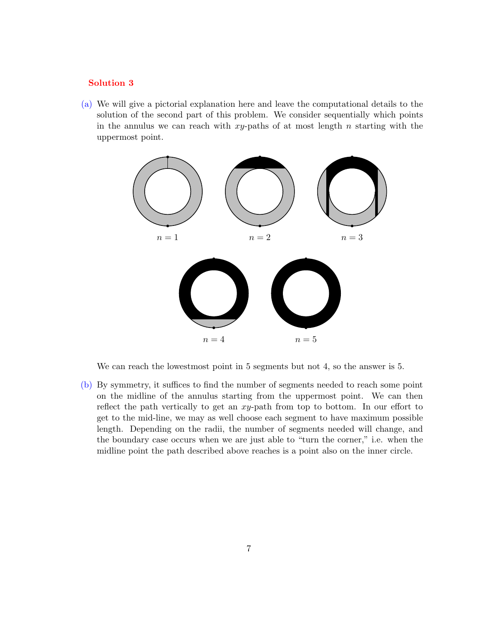#### Solution 3

(a) We will give a pictorial explanation here and leave the computational details to the solution of the second part of this problem. We consider sequentially which points in the annulus we can reach with  $xy$ -paths of at most length n starting with the uppermost point.



We can reach the lowestmost point in 5 segments but not 4, so the answer is 5.

(b) By symmetry, it suffices to find the number of segments needed to reach some point on the midline of the annulus starting from the uppermost point. We can then reflect the path vertically to get an xy-path from top to bottom. In our effort to get to the mid-line, we may as well choose each segment to have maximum possible length. Depending on the radii, the number of segments needed will change, and the boundary case occurs when we are just able to "turn the corner," i.e. when the midline point the path described above reaches is a point also on the inner circle.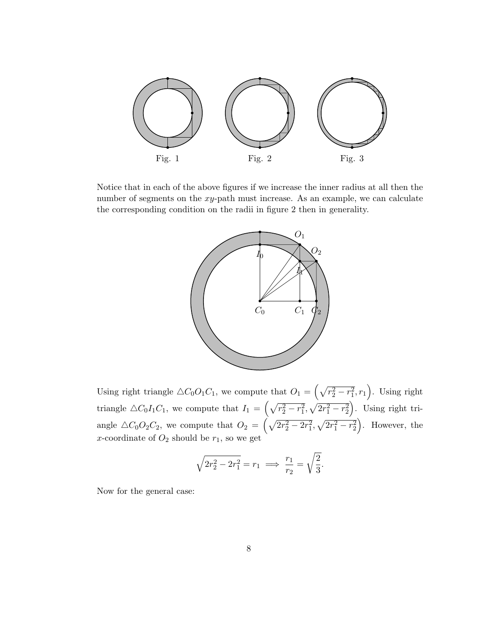

Notice that in each of the above figures if we increase the inner radius at all then the number of segments on the  $xy$ -path must increase. As an example, we can calculate the corresponding condition on the radii in figure 2 then in generality.



Using right triangle  $\triangle C_0O_1C_1$ , we compute that  $O_1 = \left(\sqrt{r_2^2 - r_1^2}, r_1\right)$ . Using right triangle  $\triangle C_0I_1C_1$ , we compute that  $I_1 = \left(\sqrt{r_2^2 - r_1^2}, \sqrt{2r_1^2 - r_2^2}\right)$ . Using right triangle  $\triangle C_0O_2C_2$ , we compute that  $O_2 = \left(\sqrt{2r_2^2 - 2r_1^2}, \sqrt{2r_1^2 - r_2^2}\right)$ . However, the x-coordinate of  $O_2$  should be  $r_1$ , so we get

$$
\sqrt{2r_2^2 - 2r_1^2} = r_1 \implies \frac{r_1}{r_2} = \sqrt{\frac{2}{3}}.
$$

Now for the general case: